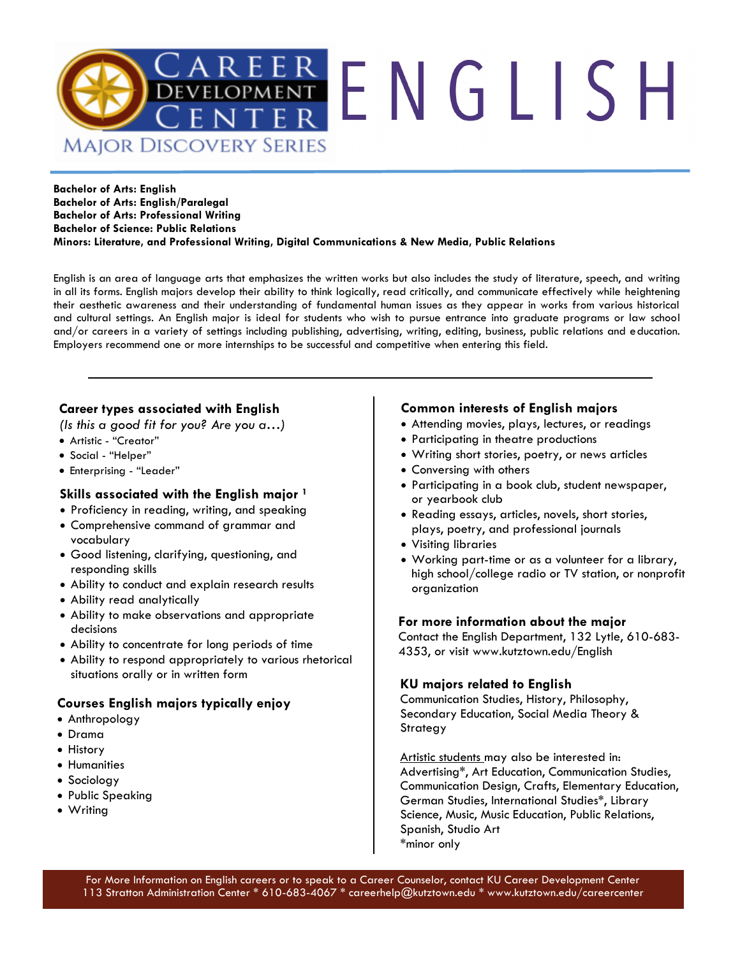

#### **Bachelor of Arts: English Bachelor of Arts: English/Paralegal Bachelor of Arts: Professional Writing Bachelor of Science: Public Relations Minors: Literature, and Professional Writing, Digital Communications & New Media, Public Relations**

English is an area of language arts that emphasizes the written works but also includes the study of literature, speech, and writing in all its forms. English majors develop their ability to think logically, read critically, and communicate effectively while heightening their aesthetic awareness and their understanding of fundamental human issues as they appear in works from various historical and cultural settings. An English major is ideal for students who wish to pursue entrance into graduate programs or law school and/or careers in a variety of settings including publishing, advertising, writing, editing, business, public relations and education. Employers recommend one or more internships to be successful and competitive when entering this field.

### **Career types associated with English**

*(Is this a good fit for you? Are you a…)*

- Artistic "Creator"
- Social "Helper"
- Enterprising "Leader"

### **Skills associated with the English major <sup>1</sup>**

- Proficiency in reading, writing, and speaking
- Comprehensive command of grammar and vocabulary
- Good listening, clarifying, questioning, and responding skills
- Ability to conduct and explain research results
- Ability read analytically
- Ability to make observations and appropriate decisions
- Ability to concentrate for long periods of time
- Ability to respond appropriately to various rhetorical situations orally or in written form

### **Courses English majors typically enjoy**

- Anthropology
- Drama
- History
- Humanities
- Sociology
- Public Speaking
- Writing

#### **Common interests of English majors**

- Attending movies, plays, lectures, or readings
- Participating in theatre productions
- Writing short stories, poetry, or news articles
- Conversing with others
- Participating in a book club, student newspaper, or yearbook club
- Reading essays, articles, novels, short stories, plays, poetry, and professional journals
- Visiting libraries
- Working part-time or as a volunteer for a library, high school/college radio or TV station, or nonprofit organization

#### **For more information about the major**

Contact the English Department, 132 Lytle, 610-683- 4353, or visit www.kutztown.edu/English

### **KU majors related to English**

Communication Studies, History, Philosophy, Secondary Education, Social Media Theory & Strategy

Artistic students may also be interested in: Advertising\*, Art Education, Communication Studies, Communication Design, Crafts, Elementary Education, German Studies, International Studies\*, Library Science, Music, Music Education, Public Relations, Spanish, Studio Art \*minor only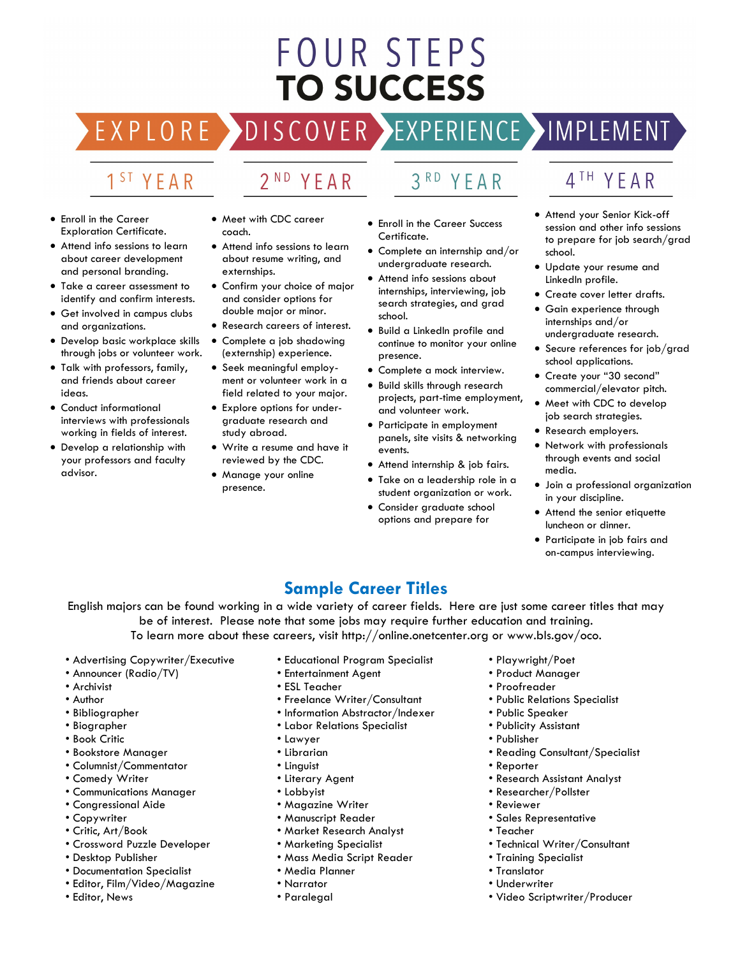# **FOUR STEPS TO SUCCESS**

DISCOVER EXPERIENCE HMPLEMENT

### 1<sup>ST</sup> YEAR

EXPLORE >

## 2<sup>ND</sup> YEAR

- Enroll in the Career Exploration Certificate.
- Attend info sessions to learn about career development and personal branding.
- Take a career assessment to identify and confirm interests.
- Get involved in campus clubs and organizations.
- Develop basic workplace skills through jobs or volunteer work.
- Talk with professors, family, and friends about career ideas.
- Conduct informational interviews with professionals working in fields of interest.
- Develop a relationship with your professors and faculty advisor.
- Meet with CDC career coach.
- Attend info sessions to learn about resume writing, and externships.
- Confirm your choice of major and consider options for double major or minor.
- Research careers of interest.
- Complete a job shadowing (externship) experience.
- Seek meaningful employment or volunteer work in a field related to your major.
- Explore options for undergraduate research and study abroad.
- Write a resume and have it reviewed by the CDC.
- Manage your online presence.

• Enroll in the Career Success

YEAR

 $3<sup>RD</sup>$ 

- Certificate. • Complete an internship and/or undergraduate research.
- Attend info sessions about internships, interviewing, job search strategies, and grad school.
- Build a LinkedIn profile and continue to monitor your online presence.
- Complete a mock interview.
- Build skills through research projects, part-time employment, and volunteer work.
- Participate in employment panels, site visits & networking events.
- Attend internship & job fairs.
- Take on a leadership role in a student organization or work.
- Consider araduate school options and prepare for

### 4TH YEAR

- Attend your Senior Kick-off session and other info sessions to prepare for job search/grad school.
- Update your resume and LinkedIn profile.
- Create cover letter drafts.
- Gain experience through internships and/or undergraduate research.
- Secure references for job/grad school applications.
- Create your "30 second" commercial/elevator pitch.
- Meet with CDC to develop job search strategies.
- Research employers.
- Network with professionals through events and social media.
- Join a professional organization in your discipline.
- Attend the senior etiquette luncheon or dinner.
- Participate in job fairs and on-campus interviewing.

### **Sample Career Titles**

English majors can be found working in a wide variety of career fields. Here are just some career titles that may be of interest. Please note that some jobs may require further education and training. To learn more about these careers, visit http://online.onetcenter.org or www.bls.gov/oco.

- Advertising Copywriter/Executive
- Announcer (Radio/TV)
- Archivist
- Author
- Bibliographer
- Biographer
- Book Critic
- Bookstore Manager
- Columnist/Commentator
- Comedy Writer
- Communications Manager
- Congressional Aide
- Copywriter
- Critic, Art/Book
- Crossword Puzzle Developer
- Desktop Publisher
- Documentation Specialist
- Editor, Film/Video/Magazine
- Editor, News
- Educational Program Specialist
- Entertainment Agent
- ESL Teacher
- Freelance Writer/Consultant
- Information Abstractor/Indexer
- Labor Relations Specialist
- Lawyer
- Librarian
- Linguist
- Literary Agent
- Lobbyist
- Magazine Writer
- Manuscript Reader
- Market Research Analyst
- Marketing Specialist
- Mass Media Script Reader
- Media Planner
- Narrator
- Paralegal
- Playwright/Poet
- Product Manager
- Proofreader
- Public Relations Specialist
- Public Speaker
- Publicity Assistant
- Publisher
- Reading Consultant/Specialist
- Reporter
- Research Assistant Analyst
- Researcher/Pollster
- Reviewer
- Sales Representative
- Teacher
- Technical Writer/Consultant

• Video Scriptwriter/Producer

• Training Specialist • Translator

• Underwriter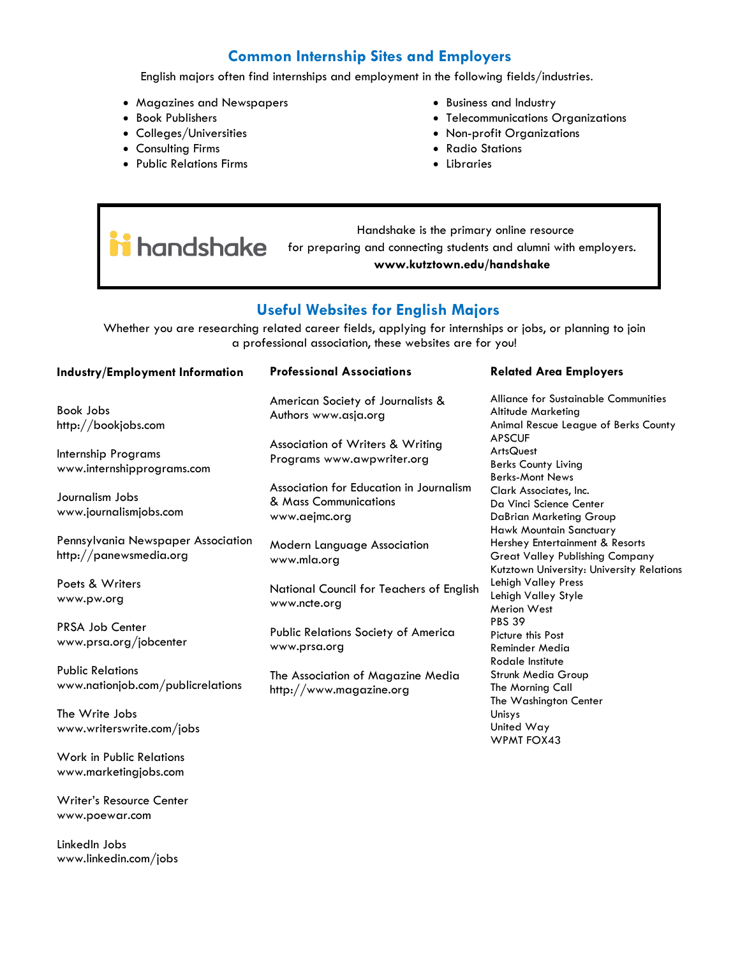### **Common Internship Sites and Employers**

English majors often find internships and employment in the following fields/industries.

- Magazines and Newspapers
- Book Publishers
- Colleges/Universities
- Consulting Firms
- Public Relations Firms
- Business and Industry
- Telecommunications Organizations
- Non-profit Organizations
- Radio Stations
- Libraries

 Handshake is the primary online resource **in** handshake for preparing and connecting students and alumni with employers. **www.kutztown.edu/handshake**

### **Useful Websites for English Majors**

Whether you are researching related career fields, applying for internships or jobs, or planning to join a professional association, these websites are for you!

| Industry/Employment Information                              | <b>Professional Associations</b>                                                  | <b>Related Area Employers</b>                                                                                                                            |
|--------------------------------------------------------------|-----------------------------------------------------------------------------------|----------------------------------------------------------------------------------------------------------------------------------------------------------|
| <b>Book Jobs</b><br>http://bookjobs.com                      | American Society of Journalists &<br>Authors www.asja.org                         | Alliance for Sustainable Communities<br>Altitude Marketing<br>Animal Rescue League of Berks County                                                       |
| Internship Programs<br>www.internshipprograms.com            | Association of Writers & Writing<br>Programs www.awpwriter.org                    | <b>APSCUF</b><br>ArtsQuest<br><b>Berks County Living</b><br><b>Berks-Mont News</b>                                                                       |
| Journalism Jobs<br>www.journalismjobs.com                    | Association for Education in Journalism<br>& Mass Communications<br>www.aejmc.org | Clark Associates, Inc.<br>Da Vinci Science Center<br>DaBrian Marketing Group                                                                             |
| Pennsylvania Newspaper Association<br>http://panewsmedia.org | <b>Modern Language Association</b><br>www.mla.ora                                 | <b>Hawk Mountain Sanctuary</b><br>Hershey Entertainment & Resorts<br><b>Great Valley Publishing Company</b><br>Kutztown University: University Relations |
| Poets & Writers<br>www.pw.org                                | National Council for Teachers of English<br>www.ncte.org                          | Lehigh Valley Press<br>Lehigh Valley Style<br>Merion West                                                                                                |
| <b>PRSA Job Center</b><br>www.prsa.org/jobcenter             | Public Relations Society of America<br>www.prsa.org                               | <b>PBS 39</b><br>Picture this Post<br><b>Reminder Media</b>                                                                                              |
| <b>Public Relations</b><br>www.nationjob.com/publicrelations | The Association of Magazine Media<br>http://www.magazine.org                      | Rodale Institute<br>Strunk Media Group<br>The Morning Call<br>The Washington Center                                                                      |
| The Write Jobs<br>www.writerswrite.com/jobs                  |                                                                                   | Unisys<br>United Way<br><b>WPMT FOX43</b>                                                                                                                |
| Work in Public Relations<br>www.marketingjobs.com            |                                                                                   |                                                                                                                                                          |

Writer's Resource Center www.poewar.com

LinkedIn Jobs www.linkedin.com/jobs